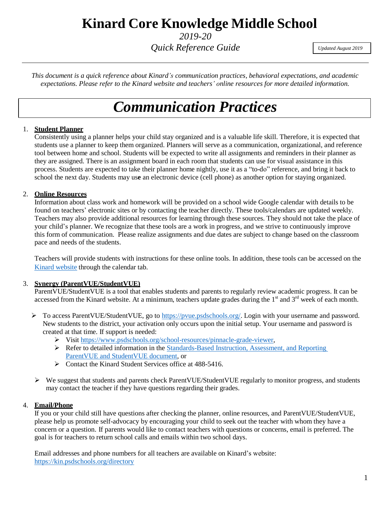### **Kinard Core Knowledge Middle School**

*2019-20*

*Quick Reference Guide*

*Updated August 2019*

*This document is a quick reference about Kinard's communication practices, behavioral expectations, and academic expectations. Please refer to the Kinard website and teachers' online resources for more detailed information.*

# *Communication Practices*

### 1. **Student Planner**

Consistently using a planner helps your child stay organized and is a valuable life skill. Therefore, it is expected that students use a planner to keep them organized. Planners will serve as a communication, organizational, and reference tool between home and school. Students will be expected to write all assignments and reminders in their planner as they are assigned. There is an assignment board in each room that students can use for visual assistance in this process. Students are expected to take their planner home nightly, use it as a "to-do" reference, and bring it back to school the next day. Students may us**e** an electronic device (cell phone) as another option for staying organized.

### 2. **Online Resources**

Information about class work and homework will be provided on a school wide Google calendar with details to be found on teachers' electronic sites or by contacting the teacher directly. These tools/calendars are updated weekly. Teachers may also provide additional resources for learning through these sources. They should not take the place of your child's planner. We recognize that these tools are a work in progress, and we strive to continuously improve this form of communication. Please realize assignments and due dates are subject to change based on the classroom pace and needs of the students.

Teachers will provide students with instructions for these online tools. In addition, these tools can be accessed on the Kinard [website](https://kin.psdschools.org/) through the calendar tab.

### 3. **Synergy (ParentVUE/StudentVUE)**

ParentVUE/StudentVUE is a tool that enables students and parents to regularly review academic progress. It can be accessed from the Kinard website. At a minimum, teachers update grades during the  $1<sup>st</sup>$  and  $3<sup>rd</sup>$  week of each month.

- ➢ To access ParentVUE/StudentVUE, go to [https://pvue.psdschools.org/.](https://pvue.psdschools.org/) Login with your username and password. New students to the district, your activation only occurs upon the initial setup. Your username and password is created at that time. If support is needed:
	- ➢ Visit [https://www.psdschools.org/school-resources/pinnacle-grade-viewer,](https://www.psdschools.org/school-resources/pinnacle-grade-viewer)
	- ➢ Refer to detailed information in the [Standards-Based Instruction, Assessment, and Reporting](https://kin.psdschools.org/webfm/882) [ParentVUE and StudentVUE document,](https://kin.psdschools.org/webfm/882) or
	- ➢ Contact the Kinard Student Services office at 488-5416.
- ➢ We suggest that students and parents check ParentVUE/StudentVUE regularly to monitor progress, and students may contact the teacher if they have questions regarding their grades.

### 4. **Email/Phone**

If you or your child still have questions after checking the planner, online resources, and ParentVUE/StudentVUE, please help us promote self-advocacy by encouraging your child to seek out the teacher with whom they have a concern or a question. If parents would like to contact teachers with questions or concerns, email is preferred. The goal is for teachers to return school calls and emails within two school days.

Email addresses and phone numbers for all teachers are available on Kinard's website: <https://kin.psdschools.org/directory>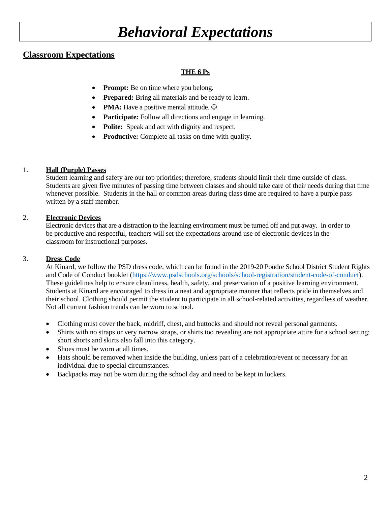## *Behavioral Expectations*

### **Classroom Expectations**

### **THE 6 Ps**

- **Prompt:** Be on time where you belong.
- **Prepared:** Bring all materials and be ready to learn.
- **PMA:** Have a positive mental attitude.  $\odot$
- **Participate**: Follow all directions and engage in learning.
- **Polite:** Speak and act with dignity and respect.
- **Productive:** Complete all tasks on time with quality.

### 1. **Hall (Purple) Passes**

Student learning and safety are our top priorities; therefore, students should limit their time outside of class. Students are given five minutes of passing time between classes and should take care of their needs during that time whenever possible. Students in the hall or common areas during class time are required to have a purple pass written by a staff member.

### 2. **Electronic Devices**

Electronic devices that are a distraction to the learning environment must be turned off and put away. In order to be productive and respectful, teachers will set the expectations around use of electronic devices in the classroom for instructional purposes.

### 3. **Dress Code**

At Kinard, we follow the PSD dress code, which can be found in the 2019-20 Poudre School District Student Rights and Code of Conduct booklet [\(https://www.psdschools.org/schools/school-registration/student-code-of-conduct\)](https://www.psdschools.org/schools/school-registration/student-code-of-conduct). These guidelines help to ensure cleanliness, health, safety, and preservation of a positive learning environment. Students at Kinard are encouraged to dress in a neat and appropriate manner that reflects pride in themselves and their school. Clothing should permit the student to participate in all school-related activities, regardless of weather. Not all current fashion trends can be worn to school.

- Clothing must cover the back, midriff, chest, and buttocks and should not reveal personal garments.
- Shirts with no straps or very narrow straps, or shirts too revealing are not appropriate attire for a school setting; short shorts and skirts also fall into this category.
- Shoes must be worn at all times.
- Hats should be removed when inside the building, unless part of a celebration/event or necessary for an individual due to special circumstances.
- Backpacks may not be worn during the school day and need to be kept in lockers.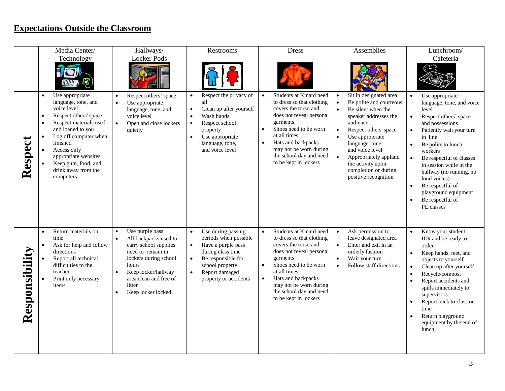### **Expectations Outside the Classroom**

|                | Media Center/                                                                                                                                                                                                                                                                                               | Hallways/                                                                                                                                                                                                                                                     | Restrooms                                                                                                                                                                                                                      | <b>Dress</b>                                                                                                                                                                                                                                                                                             | Assemblies                                                                                                                                                                                                                                                                                                                                       | Lunchroom/                                                                                                                                                                                                                                                                                                                                                                                                    |
|----------------|-------------------------------------------------------------------------------------------------------------------------------------------------------------------------------------------------------------------------------------------------------------------------------------------------------------|---------------------------------------------------------------------------------------------------------------------------------------------------------------------------------------------------------------------------------------------------------------|--------------------------------------------------------------------------------------------------------------------------------------------------------------------------------------------------------------------------------|----------------------------------------------------------------------------------------------------------------------------------------------------------------------------------------------------------------------------------------------------------------------------------------------------------|--------------------------------------------------------------------------------------------------------------------------------------------------------------------------------------------------------------------------------------------------------------------------------------------------------------------------------------------------|---------------------------------------------------------------------------------------------------------------------------------------------------------------------------------------------------------------------------------------------------------------------------------------------------------------------------------------------------------------------------------------------------------------|
|                | Technology                                                                                                                                                                                                                                                                                                  | <b>Locker Pods</b>                                                                                                                                                                                                                                            |                                                                                                                                                                                                                                |                                                                                                                                                                                                                                                                                                          |                                                                                                                                                                                                                                                                                                                                                  | Cafeteria<br>رسي                                                                                                                                                                                                                                                                                                                                                                                              |
| Respect        | Use appropriate<br>language, tone, and<br>voice level<br>Respect others' space<br>$\bullet$<br>Respect materials used<br>$\bullet$<br>and loaned to you<br>Log off computer when<br>finished<br>Access only<br>$\bullet$<br>appropriate websites<br>Keep gum, food, and<br>drink away from the<br>computers | Respect others' space<br>$\bullet$<br>Use appropriate<br>$\bullet$<br>language, tone, and<br>voice level<br>$\bullet$<br>Open and close lockers<br>quietly                                                                                                    | Respect the privacy of<br>$\bullet$<br>all<br>Clean up after yourself<br>$\bullet$<br>Wash hands<br>$\bullet$<br>Respect school<br>$\bullet$<br>property<br>Use appropriate<br>$\bullet$<br>language, tone,<br>and voice level | Students at Kinard need<br>$\bullet$<br>to dress so that clothing<br>covers the torso and<br>does not reveal personal<br>garments<br>Shoes need to be worn<br>$\bullet$<br>at all times<br>Hats and backpacks<br>$\bullet$<br>may not be worn during<br>the school day and need<br>to be kept in lockers | Sit in designated area<br>$\bullet$<br>Be polite and courteous<br>$\bullet$<br>Be silent when the<br>speaker addresses the<br>audience<br>Respect others' space<br>$\bullet$<br>Use appropriate<br>language, tone,<br>and voice level<br>$\bullet$<br>Appropriately applaud<br>the activity upon<br>completion or during<br>positive recognition | Use appropriate<br>$\bullet$<br>language, tone, and voice<br>level<br>Respect others' space<br>$\bullet$<br>and possessions<br>Patiently wait your turn<br>$\bullet$<br>in line<br>Be polite to lunch<br>workers<br>Be respectful of classes<br>$\bullet$<br>in session while in the<br>hallway (no running, no<br>loud voices)<br>Be respectful of<br>playground equipment<br>Be respectful of<br>PE classes |
| Responsibility | Return materials on<br>$\bullet$<br>time<br>Ask for help and follow<br>$\bullet$<br>directions<br>Report all technical<br>difficulties to the<br>teacher<br>Print only necessary<br>items                                                                                                                   | Use purple pass<br>$\bullet$<br>All backpacks used to<br>$\bullet$<br>carry school supplies<br>need to remain in<br>lockers during school<br>hours<br>Keep locker/hallway<br>$\bullet$<br>area clean and free of<br>litter<br>Keep locker locked<br>$\bullet$ | Use during passing<br>periods when possible<br>Have a purple pass<br>$\bullet$<br>during class time<br>Be responsible for<br>$\bullet$<br>school property<br>Report damaged<br>$\bullet$<br>property or accidents              | Students at Kinard need<br>to dress so that clothing<br>covers the torso and<br>does not reveal personal<br>garments<br>Shoes need to be worn<br>$\bullet$<br>at all times.<br>Hats and backpacks<br>may not be worn during<br>the school day and need<br>to be kept in lockers                          | Ask permission to<br>$\bullet$<br>leave designated area<br>Enter and exit in an<br>orderly fashion<br>Wait your turn<br>$\bullet$<br>Follow staff directions<br>$\bullet$                                                                                                                                                                        | Know your student<br>ID# and be ready to<br>order<br>Keep hands, feet, and<br>$\bullet$<br>objects to yourself<br>Clean up after yourself<br>$\bullet$<br>Recycle/compost<br>Report accidents and<br>spills immediately to<br>supervisors<br>Report back to class on<br>time<br>Return playground<br>equipment by the end of<br>lunch                                                                         |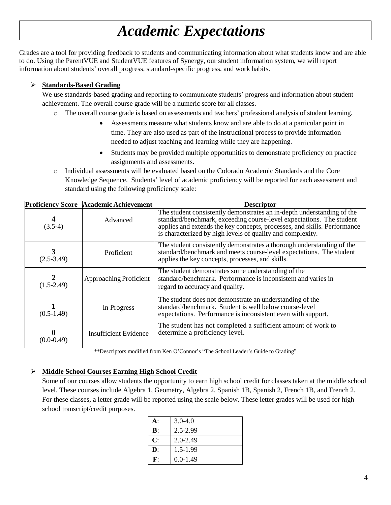# *Academic Expectations*

Grades are a tool for providing feedback to students and communicating information about what students know and are able to do. Using the ParentVUE and StudentVUE features of Synergy, our student information system, we will report information about students' overall progress, standard-specific progress, and work habits.

### ➢ **Standards-Based Grading**

We use standards-based grading and reporting to communicate students' progress and information about student achievement. The overall course grade will be a numeric score for all classes.

- o The overall course grade is based on assessments and teachers' professional analysis of student learning.
	- Assessments measure what students know and are able to do at a particular point in time. They are also used as part of the instructional process to provide information needed to adjust teaching and learning while they are happening.
	- Students may be provided multiple opportunities to demonstrate proficiency on practice assignments and assessments.
- o Individual assessments will be evaluated based on the Colorado Academic Standards and the Core Knowledge Sequence. Students' level of academic proficiency will be reported for each assessment and standard using the following proficiency scale:

| <b>Proficiency Score</b> | <b>Academic Achievement</b>  | <b>Descriptor</b>                                                                                                                                                                                                                                                                        |  |  |
|--------------------------|------------------------------|------------------------------------------------------------------------------------------------------------------------------------------------------------------------------------------------------------------------------------------------------------------------------------------|--|--|
| $(3.5-4)$                | Advanced                     | The student consistently demonstrates an in-depth understanding of the<br>standard/benchmark, exceeding course-level expectations. The student<br>applies and extends the key concepts, processes, and skills. Performance<br>is characterized by high levels of quality and complexity. |  |  |
| 3<br>$(2.5 - 3.49)$      | Proficient                   | The student consistently demonstrates a thorough understanding of the<br>standard/benchmark and meets course-level expectations. The student<br>applies the key concepts, processes, and skills.                                                                                         |  |  |
| $(1.5-2.49)$             | Approaching Proficient       | The student demonstrates some understanding of the<br>standard/benchmark. Performance is inconsistent and varies in<br>regard to accuracy and quality.                                                                                                                                   |  |  |
| $(0.5-1.49)$             | In Progress                  | The student does not demonstrate an understanding of the<br>standard/benchmark. Student is well below course-level<br>expectations. Performance is inconsistent even with support.                                                                                                       |  |  |
| (0.0-0.49)               | <b>Insufficient Evidence</b> | The student has not completed a sufficient amount of work to<br>determine a proficiency level.                                                                                                                                                                                           |  |  |

\*\*Descriptors modified from Ken O'Connor's "The School Leader's Guide to Grading"

### ➢ **Middle School Courses Earning High School Credit**

Some of our courses allow students the opportunity to earn high school credit for classes taken at the middle school level. These courses include Algebra 1, Geometry, Algebra 2, Spanish 1B, Spanish 2, French 1B, and French 2. For these classes, a letter grade will be reported using the scale below. These letter grades will be used for high school transcript/credit purposes.

| <b>A</b> :     | $3.0 - 4.0$  |
|----------------|--------------|
| $\mathbf{B}$ : | 2.5-2.99     |
| $\mathbf{C}$   | $2.0 - 2.49$ |
| $\mathbf{D}$ : | $1.5 - 1.99$ |
| ${\bf F}$ :    | $0.0 - 1.49$ |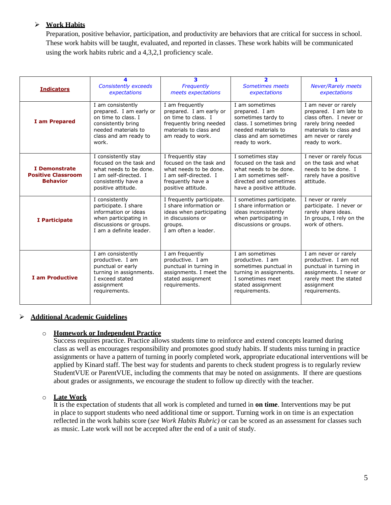### ➢ **Work Habits**

Preparation, positive behavior, participation, and productivity are behaviors that are critical for success in school. These work habits will be taught, evaluated, and reported in classes. These work habits will be communicated using the work habits rubric and a 4,3,2,1 proficiency scale.

| <b>Indicators</b>                                             | <b>Consistently exceeds</b><br>expectations                                                                                                        | 3<br>Frequently<br>meets expectations                                                                                                       | $\overline{\phantom{a}}$<br>Sometimes meets<br>expectations                                                                                           | <b>Never/Rarely meets</b><br>expectations                                                                                                                          |
|---------------------------------------------------------------|----------------------------------------------------------------------------------------------------------------------------------------------------|---------------------------------------------------------------------------------------------------------------------------------------------|-------------------------------------------------------------------------------------------------------------------------------------------------------|--------------------------------------------------------------------------------------------------------------------------------------------------------------------|
| I am Prepared                                                 | I am consistently<br>prepared. I am early or<br>on time to class. I<br>consistently bring<br>needed materials to<br>class and am ready to<br>work. | I am frequently<br>prepared. I am early or<br>on time to class. I<br>frequently bring needed<br>materials to class and<br>am ready to work. | I am sometimes<br>prepared. I am<br>sometimes tardy to<br>class. I sometimes bring<br>needed materials to<br>class and am sometimes<br>ready to work. | I am never or rarely<br>prepared. I am late to<br>class often. I never or<br>rarely bring needed<br>materials to class and<br>am never or rarely<br>ready to work. |
| I Demonstrate<br><b>Positive Classroom</b><br><b>Behavior</b> | I consistently stay<br>focused on the task and<br>what needs to be done.<br>I am self-directed. I<br>consistently have a<br>positive attitude.     | I frequently stay<br>focused on the task and<br>what needs to be done.<br>I am self-directed. I<br>frequently have a<br>positive attitude.  | I sometimes stay<br>focused on the task and<br>what needs to be done.<br>I am sometimes self-<br>directed and sometimes<br>have a positive attitude.  | I never or rarely focus<br>on the task and what<br>needs to be done. I<br>rarely have a positive<br>attitude.                                                      |
| I Participate                                                 | I consistently<br>participate. I share<br>information or ideas<br>when participating in<br>discussions or groups.<br>I am a definite leader.       | I frequently participate.<br>I share information or<br>ideas when participating<br>in discussions or<br>aroups.<br>I am often a leader.     | I sometimes participate.<br>I share information or<br>ideas inconsistently<br>when participating in<br>discussions or groups.                         | I never or rarely<br>participate. I never or<br>rarely share ideas.<br>In groups, I rely on the<br>work of others.                                                 |
| <b>I am Productive</b>                                        | I am consistently<br>productive. I am<br>punctual or early<br>turning in assignments.<br>I exceed stated<br>assignment<br>requirements.            | I am frequently<br>productive. I am<br>punctual in turning in<br>assignments. I meet the<br>stated assignment<br>requirements.              | I am sometimes<br>productive. I am<br>sometimes punctual in<br>turning in assignments.<br>I sometimes meet<br>stated assignment<br>requirements.      | I am never or rarely<br>productive. I am not<br>punctual in turning in<br>assignments. I never or<br>rarely meet the stated<br>assignment<br>requirements.         |

### ➢ **Additional Academic Guidelines**

#### o **Homework or Independent Practice**

Success requires practice. Practice allows students time to reinforce and extend concepts learned during class as well as encourages responsibility and promotes good study habits. If students miss turning in practice assignments or have a pattern of turning in poorly completed work, appropriate educational interventions will be applied by Kinard staff. The best way for students and parents to check student progress is to regularly review StudentVUE or ParentVUE, including the comments that may be noted on assignments. If there are questions about grades or assignments, we encourage the student to follow up directly with the teacher.

### o **Late Work**

It is the expectation of students that all work is completed and turned in **on time**. Interventions may be put in place to support students who need additional time or support. Turning work in on time is an expectation reflected in the work habits score (*see Work Habits Rubric)* or can be scored as an assessment for classes such as music. Late work will not be accepted after the end of a unit of study.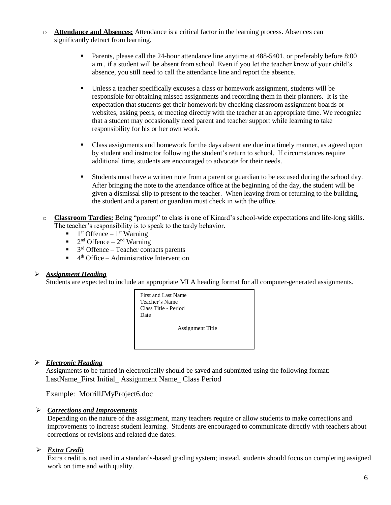- o **Attendance and Absences:** Attendance is a critical factor in the learning process. Absences can significantly detract from learning.
	- **•** Parents, please call the 24-hour attendance line anytime at 488-5401, or preferably before 8:00 a.m., if a student will be absent from school. Even if you let the teacher know of your child's absence, you still need to call the attendance line and report the absence.
	- Unless a teacher specifically excuses a class or homework assignment, students will be responsible for obtaining missed assignments and recording them in their planners. It is the expectation that students get their homework by checking classroom assignment boards or websites, asking peers, or meeting directly with the teacher at an appropriate time. We recognize that a student may occasionally need parent and teacher support while learning to take responsibility for his or her own work.
	- Class assignments and homework for the days absent are due in a timely manner, as agreed upon by student and instructor following the student's return to school. If circumstances require additional time, students are encouraged to advocate for their needs.
	- **Example 1** Students must have a written note from a parent or guardian to be excused during the school day. After bringing the note to the attendance office at the beginning of the day, the student will be given a dismissal slip to present to the teacher. When leaving from or returning to the building, the student and a parent or guardian must check in with the office.
- o **Classroom Tardies:** Being "prompt" to class is one of Kinard's school-wide expectations and life-long skills. The teacher's responsibility is to speak to the tardy behavior.
	- $\blacksquare$  1<sup>st</sup> Offence 1<sup>st</sup> Warning
	- $\blacksquare$  2<sup>nd</sup> Offence 2<sup>nd</sup> Warning
	- $\blacksquare$  3<sup>rd</sup> Offence Teacher contacts parents
	- $\blacksquare$  4<sup>th</sup> Office Administrative Intervention

### ➢ *Assignment Heading*

Students are expected to include an appropriate MLA heading format for all computer-generated assignments.



### ➢ *Electronic Heading*

Assignments to be turned in electronically should be saved and submitted using the following format: LastName\_First Initial\_ Assignment Name\_ Class Period

Example: MorrillJMyProject6.doc

### ➢ *Corrections and Improvements*

Depending on the nature of the assignment, many teachers require or allow students to make corrections and improvements to increase student learning. Students are encouraged to communicate directly with teachers about corrections or revisions and related due dates.

### ➢ *Extra Credit*

Extra credit is not used in a standards-based grading system; instead, students should focus on completing assigned work on time and with quality.